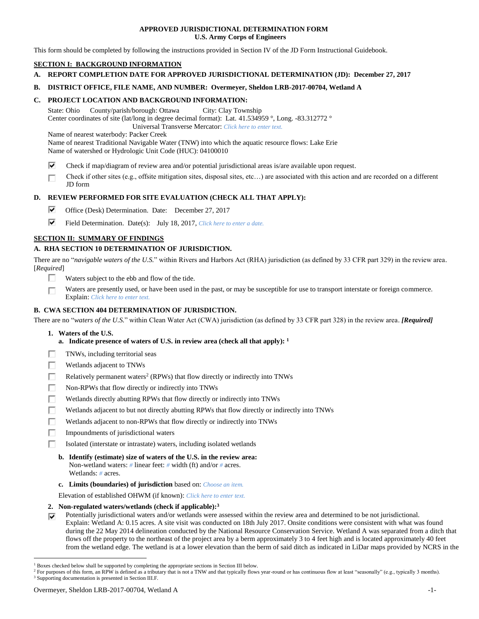## **APPROVED JURISDICTIONAL DETERMINATION FORM U.S. Army Corps of Engineers**

This form should be completed by following the instructions provided in Section IV of the JD Form Instructional Guidebook.

# **SECTION I: BACKGROUND INFORMATION**

**A. REPORT COMPLETION DATE FOR APPROVED JURISDICTIONAL DETERMINATION (JD): December 27, 2017**

## **B. DISTRICT OFFICE, FILE NAME, AND NUMBER: Overmeyer, Sheldon LRB-2017-00704, Wetland A**

### **C. PROJECT LOCATION AND BACKGROUND INFORMATION:**

State: Ohio County/parish/borough: Ottawa City: Clay Township Center coordinates of site (lat/long in degree decimal format): Lat. 41.534959 °, Long. -83.312772 °

Universal Transverse Mercator: *Click here to enter text.*

Name of nearest waterbody: Packer Creek

Name of nearest Traditional Navigable Water (TNW) into which the aquatic resource flows: Lake Erie Name of watershed or Hydrologic Unit Code (HUC): 04100010

- ⊽ Check if map/diagram of review area and/or potential jurisdictional areas is/are available upon request.
- Check if other sites (e.g., offsite mitigation sites, disposal sites, etc…) are associated with this action and are recorded on a different г JD form

## **D. REVIEW PERFORMED FOR SITE EVALUATION (CHECK ALL THAT APPLY):**

- ⊽ Office (Desk) Determination. Date: December 27, 2017
- ⊽ Field Determination. Date(s): July 18, 2017, *Click here to enter a date.*

## **SECTION II: SUMMARY OF FINDINGS**

# **A. RHA SECTION 10 DETERMINATION OF JURISDICTION.**

There are no "*navigable waters of the U.S.*" within Rivers and Harbors Act (RHA) jurisdiction (as defined by 33 CFR part 329) in the review area. [*Required*]

- п. Waters subject to the ebb and flow of the tide.
- Waters are presently used, or have been used in the past, or may be susceptible for use to transport interstate or foreign commerce. П Explain: *Click here to enter text.*

## **B. CWA SECTION 404 DETERMINATION OF JURISDICTION.**

There are no "*waters of the U.S.*" within Clean Water Act (CWA) jurisdiction (as defined by 33 CFR part 328) in the review area. *[Required]*

- **1. Waters of the U.S.**
	- **a. Indicate presence of waters of U.S. in review area (check all that apply): 1**
- Е TNWs, including territorial seas
- П Wetlands adjacent to TNWs
- г Relatively permanent waters<sup>2</sup> (RPWs) that flow directly or indirectly into TNWs
- г Non-RPWs that flow directly or indirectly into TNWs
- П Wetlands directly abutting RPWs that flow directly or indirectly into TNWs
- Wetlands adjacent to but not directly abutting RPWs that flow directly or indirectly into TNWs Е
- Wetlands adjacent to non-RPWs that flow directly or indirectly into TNWs г
- п Impoundments of jurisdictional waters
- П. Isolated (interstate or intrastate) waters, including isolated wetlands
	- **b. Identify (estimate) size of waters of the U.S. in the review area:** Non-wetland waters: *#* linear feet: *#* width (ft) and/or *#* acres. Wetlands: *#* acres.
	- **c. Limits (boundaries) of jurisdiction** based on: *Choose an item.*

Elevation of established OHWM (if known): *Click here to enter text.*

- **2. Non-regulated waters/wetlands (check if applicable): 3**
- Potentially jurisdictional waters and/or wetlands were assessed within the review area and determined to be not jurisdictional. ⊽ Explain: Wetland A: 0.15 acres. A site visit was conducted on 18th July 2017. Onsite conditions were consistent with what was found during the 22 May 2014 delineation conducted by the National Resource Conservation Service. Wetland A was separated from a ditch that flows off the property to the northeast of the project area by a berm approximately 3 to 4 feet high and is located approximately 40 feet from the wetland edge. The wetland is at a lower elevation than the berm of said ditch as indicated in LiDar maps provided by NCRS in the

 $\overline{a}$ 

<sup>1</sup> Boxes checked below shall be supported by completing the appropriate sections in Section III below.

<sup>&</sup>lt;sup>2</sup> For purposes of this form, an RPW is defined as a tributary that is not a TNW and that typically flows year-round or has continuous flow at least "seasonally" (e.g., typically 3 months).

<sup>3</sup> Supporting documentation is presented in Section III.F.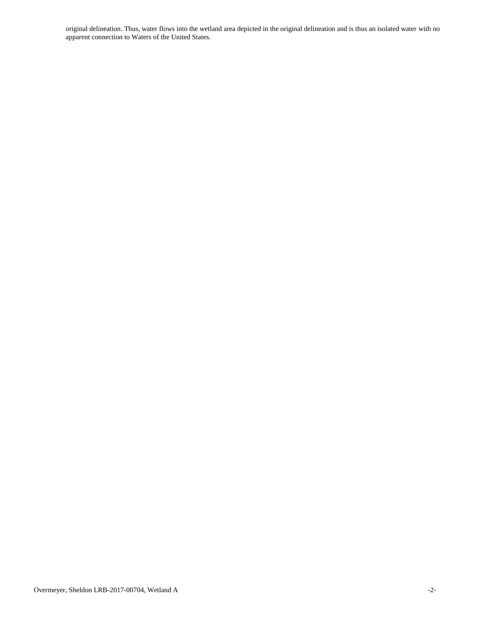original delineation. Thus, water flows into the wetland area depicted in the original delineation and is thus an isolated water with no apparent connection to Waters of the United States.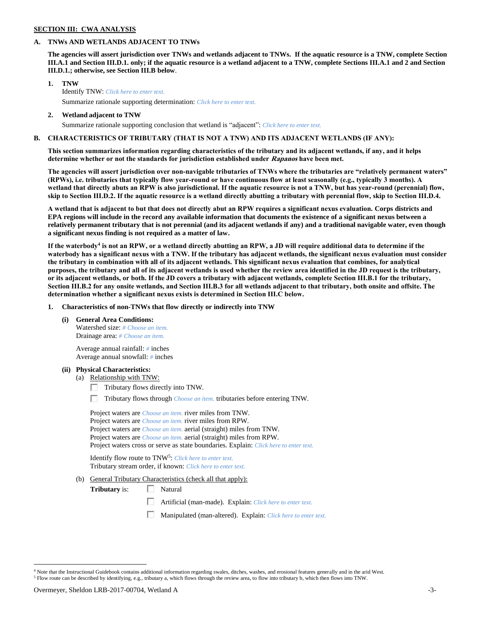# **SECTION III: CWA ANALYSIS**

## **A. TNWs AND WETLANDS ADJACENT TO TNWs**

**The agencies will assert jurisdiction over TNWs and wetlands adjacent to TNWs. If the aquatic resource is a TNW, complete Section III.A.1 and Section III.D.1. only; if the aquatic resource is a wetland adjacent to a TNW, complete Sections III.A.1 and 2 and Section III.D.1.; otherwise, see Section III.B below**.

- **1. TNW**  Identify TNW: *Click here to enter text.* Summarize rationale supporting determination: *Click here to enter text.*
- **2. Wetland adjacent to TNW** Summarize rationale supporting conclusion that wetland is "adjacent": *Click here to enter text.*

# **B. CHARACTERISTICS OF TRIBUTARY (THAT IS NOT A TNW) AND ITS ADJACENT WETLANDS (IF ANY):**

**This section summarizes information regarding characteristics of the tributary and its adjacent wetlands, if any, and it helps determine whether or not the standards for jurisdiction established under Rapanos have been met.** 

**The agencies will assert jurisdiction over non-navigable tributaries of TNWs where the tributaries are "relatively permanent waters" (RPWs), i.e. tributaries that typically flow year-round or have continuous flow at least seasonally (e.g., typically 3 months). A wetland that directly abuts an RPW is also jurisdictional. If the aquatic resource is not a TNW, but has year-round (perennial) flow, skip to Section III.D.2. If the aquatic resource is a wetland directly abutting a tributary with perennial flow, skip to Section III.D.4.**

**A wetland that is adjacent to but that does not directly abut an RPW requires a significant nexus evaluation. Corps districts and EPA regions will include in the record any available information that documents the existence of a significant nexus between a relatively permanent tributary that is not perennial (and its adjacent wetlands if any) and a traditional navigable water, even though a significant nexus finding is not required as a matter of law.**

**If the waterbody<sup>4</sup> is not an RPW, or a wetland directly abutting an RPW, a JD will require additional data to determine if the waterbody has a significant nexus with a TNW. If the tributary has adjacent wetlands, the significant nexus evaluation must consider the tributary in combination with all of its adjacent wetlands. This significant nexus evaluation that combines, for analytical purposes, the tributary and all of its adjacent wetlands is used whether the review area identified in the JD request is the tributary, or its adjacent wetlands, or both. If the JD covers a tributary with adjacent wetlands, complete Section III.B.1 for the tributary, Section III.B.2 for any onsite wetlands, and Section III.B.3 for all wetlands adjacent to that tributary, both onsite and offsite. The determination whether a significant nexus exists is determined in Section III.C below.**

**1. Characteristics of non-TNWs that flow directly or indirectly into TNW**

**(i) General Area Conditions:**

Watershed size: *# Choose an item.* Drainage area: *# Choose an item.*

Average annual rainfall: *#* inches Average annual snowfall: *#* inches

## **(ii) Physical Characteristics:**

- (a) Relationship with TNW:
	- $\Box$  Tributary flows directly into TNW.

п. Tributary flows through *Choose an item.* tributaries before entering TNW.

Project waters are *Choose an item.* river miles from TNW. Project waters are *Choose an item.* river miles from RPW. Project waters are *Choose an item.* aerial (straight) miles from TNW. Project waters are *Choose an item.* aerial (straight) miles from RPW. Project waters cross or serve as state boundaries. Explain: *Click here to enter text.*

Identify flow route to TNW<sup>5</sup>: Click here to enter text. Tributary stream order, if known: *Click here to enter text.*

(b) General Tributary Characteristics (check all that apply):

**Tributary** is:  $\Box$  Natural

口 Artificial (man-made). Explain: *Click here to enter text.*

口 Manipulated (man-altered). Explain: *Click here to enter text.*

 $\overline{a}$ <sup>4</sup> Note that the Instructional Guidebook contains additional information regarding swales, ditches, washes, and erosional features generally and in the arid West. <sup>5</sup> Flow route can be described by identifying, e.g., tributary a, which flows through the review area, to flow into tributary b, which then flows into TNW.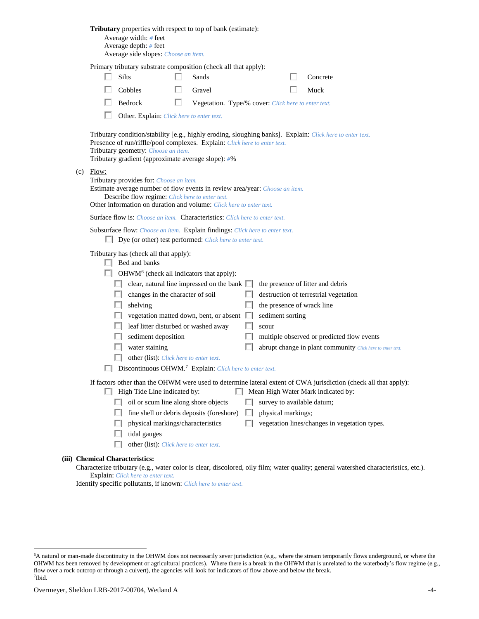|                                                                                                                                                                                                                                                                                     |                                                                                                                                                                                                                                                                                                                                                                                                                                                                                                                                                                                                                                                                                                                                                                         |                                                                                                                                                                        | Tributary properties with respect to top of bank (estimate):<br>Average width: # feet<br>Average depth: # feet<br>Average side slopes: Choose an item. |   |        |   |                                                     |  |                                               |
|-------------------------------------------------------------------------------------------------------------------------------------------------------------------------------------------------------------------------------------------------------------------------------------|-------------------------------------------------------------------------------------------------------------------------------------------------------------------------------------------------------------------------------------------------------------------------------------------------------------------------------------------------------------------------------------------------------------------------------------------------------------------------------------------------------------------------------------------------------------------------------------------------------------------------------------------------------------------------------------------------------------------------------------------------------------------------|------------------------------------------------------------------------------------------------------------------------------------------------------------------------|--------------------------------------------------------------------------------------------------------------------------------------------------------|---|--------|---|-----------------------------------------------------|--|-----------------------------------------------|
|                                                                                                                                                                                                                                                                                     | Primary tributary substrate composition (check all that apply):                                                                                                                                                                                                                                                                                                                                                                                                                                                                                                                                                                                                                                                                                                         |                                                                                                                                                                        |                                                                                                                                                        |   |        |   |                                                     |  |                                               |
|                                                                                                                                                                                                                                                                                     |                                                                                                                                                                                                                                                                                                                                                                                                                                                                                                                                                                                                                                                                                                                                                                         |                                                                                                                                                                        | Silts                                                                                                                                                  |   | Sands  |   |                                                     |  | Concrete                                      |
|                                                                                                                                                                                                                                                                                     |                                                                                                                                                                                                                                                                                                                                                                                                                                                                                                                                                                                                                                                                                                                                                                         |                                                                                                                                                                        | Cobbles                                                                                                                                                |   | Gravel |   |                                                     |  | Muck                                          |
|                                                                                                                                                                                                                                                                                     |                                                                                                                                                                                                                                                                                                                                                                                                                                                                                                                                                                                                                                                                                                                                                                         |                                                                                                                                                                        | Bedrock                                                                                                                                                | ш |        |   | Vegetation. Type/% cover: Click here to enter text. |  |                                               |
|                                                                                                                                                                                                                                                                                     |                                                                                                                                                                                                                                                                                                                                                                                                                                                                                                                                                                                                                                                                                                                                                                         |                                                                                                                                                                        | Other. Explain: Click here to enter text.                                                                                                              |   |        |   |                                                     |  |                                               |
| Tributary condition/stability [e.g., highly eroding, sloughing banks]. Explain: Click here to enter text.<br>Presence of run/riffle/pool complexes. Explain: Click here to enter text.<br>Tributary geometry: Choose an item.<br>Tributary gradient (approximate average slope): #% |                                                                                                                                                                                                                                                                                                                                                                                                                                                                                                                                                                                                                                                                                                                                                                         |                                                                                                                                                                        |                                                                                                                                                        |   |        |   |                                                     |  |                                               |
|                                                                                                                                                                                                                                                                                     | $(c)$ Flow:<br>Tributary provides for: Choose an item.<br>Estimate average number of flow events in review area/year: Choose an item.<br>Describe flow regime: Click here to enter text.<br>Other information on duration and volume: Click here to enter text.                                                                                                                                                                                                                                                                                                                                                                                                                                                                                                         |                                                                                                                                                                        |                                                                                                                                                        |   |        |   |                                                     |  |                                               |
|                                                                                                                                                                                                                                                                                     |                                                                                                                                                                                                                                                                                                                                                                                                                                                                                                                                                                                                                                                                                                                                                                         |                                                                                                                                                                        | Surface flow is: Choose an item. Characteristics: Click here to enter text.                                                                            |   |        |   |                                                     |  |                                               |
|                                                                                                                                                                                                                                                                                     |                                                                                                                                                                                                                                                                                                                                                                                                                                                                                                                                                                                                                                                                                                                                                                         |                                                                                                                                                                        | Subsurface flow: Choose an item. Explain findings: Click here to enter text.<br>$\Box$ Dye (or other) test performed: <i>Click here to enter text.</i> |   |        |   |                                                     |  |                                               |
|                                                                                                                                                                                                                                                                                     | Tributary has (check all that apply):<br>$\Box$ Bed and banks<br>$\Box$ OHWM <sup>6</sup> (check all indicators that apply):<br>$\Box$ clear, natural line impressed on the bank $\Box$<br>the presence of litter and debris<br>changes in the character of soil<br>destruction of terrestrial vegetation<br>ш<br>the presence of wrack line<br>shelving<br>ш<br>$\Box$ vegetation matted down, bent, or absent<br>sediment sorting<br>L.L<br>leaf litter disturbed or washed away<br>scour<br>sediment deposition<br>multiple observed or predicted flow events<br>water staining<br>abrupt change in plant community Click here to enter text.<br>п<br>other (list): Click here to enter text.<br>Discontinuous OHWM. <sup>7</sup> Explain: Click here to enter text. |                                                                                                                                                                        |                                                                                                                                                        |   |        |   |                                                     |  |                                               |
|                                                                                                                                                                                                                                                                                     | If factors other than the OHWM were used to determine lateral extent of CWA jurisdiction (check all that apply):<br>$\Box$ High Tide Line indicated by:<br>Mean High Water Mark indicated by:                                                                                                                                                                                                                                                                                                                                                                                                                                                                                                                                                                           |                                                                                                                                                                        |                                                                                                                                                        |   |        |   |                                                     |  |                                               |
|                                                                                                                                                                                                                                                                                     |                                                                                                                                                                                                                                                                                                                                                                                                                                                                                                                                                                                                                                                                                                                                                                         |                                                                                                                                                                        | $\Box$ oil or scum line along shore objects                                                                                                            |   |        |   | survey to available datum;                          |  |                                               |
|                                                                                                                                                                                                                                                                                     |                                                                                                                                                                                                                                                                                                                                                                                                                                                                                                                                                                                                                                                                                                                                                                         |                                                                                                                                                                        | fine shell or debris deposits (foreshore)                                                                                                              |   |        | ш | physical markings;                                  |  |                                               |
|                                                                                                                                                                                                                                                                                     |                                                                                                                                                                                                                                                                                                                                                                                                                                                                                                                                                                                                                                                                                                                                                                         |                                                                                                                                                                        | physical markings/characteristics                                                                                                                      |   |        | п |                                                     |  | vegetation lines/changes in vegetation types. |
|                                                                                                                                                                                                                                                                                     |                                                                                                                                                                                                                                                                                                                                                                                                                                                                                                                                                                                                                                                                                                                                                                         |                                                                                                                                                                        | tidal gauges<br>other (list): Click here to enter text.                                                                                                |   |        |   |                                                     |  |                                               |
|                                                                                                                                                                                                                                                                                     |                                                                                                                                                                                                                                                                                                                                                                                                                                                                                                                                                                                                                                                                                                                                                                         |                                                                                                                                                                        |                                                                                                                                                        |   |        |   |                                                     |  |                                               |
|                                                                                                                                                                                                                                                                                     |                                                                                                                                                                                                                                                                                                                                                                                                                                                                                                                                                                                                                                                                                                                                                                         | (iii) Chemical Characteristics:<br>Characterize tributary (e.g., water color is clear, discolored, oily film; water quality; general watershed characteristics, etc.). |                                                                                                                                                        |   |        |   |                                                     |  |                                               |
|                                                                                                                                                                                                                                                                                     | Explain: Click here to enter text.                                                                                                                                                                                                                                                                                                                                                                                                                                                                                                                                                                                                                                                                                                                                      |                                                                                                                                                                        |                                                                                                                                                        |   |        |   |                                                     |  |                                               |

Identify specific pollutants, if known: *Click here to enter text.*

 $\overline{a}$ 

<sup>6</sup>A natural or man-made discontinuity in the OHWM does not necessarily sever jurisdiction (e.g., where the stream temporarily flows underground, or where the OHWM has been removed by development or agricultural practices). Where there is a break in the OHWM that is unrelated to the waterbody's flow regime (e.g., flow over a rock outcrop or through a culvert), the agencies will look for indicators of flow above and below the break. 7 Ibid.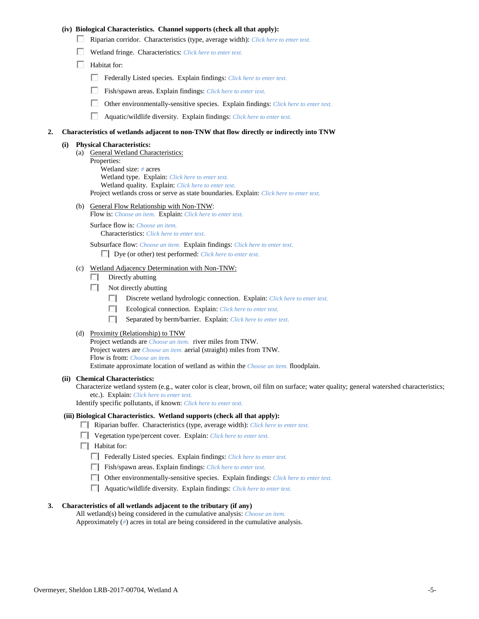## **(iv) Biological Characteristics. Channel supports (check all that apply):**

- Riparian corridor. Characteristics (type, average width): *Click here to enter text.*
- Wetland fringe. Characteristics: *Click here to enter text.*
- $\Box$  Habitat for:
	- Federally Listed species. Explain findings: *Click here to enter text.*
	- Fish/spawn areas. Explain findings: *Click here to enter text.*
	- п. Other environmentally-sensitive species. Explain findings: *Click here to enter text.*
	- Aquatic/wildlife diversity. Explain findings: *Click here to enter text.*

#### **2. Characteristics of wetlands adjacent to non-TNW that flow directly or indirectly into TNW**

#### **(i) Physical Characteristics:**

- (a) General Wetland Characteristics:
	- Properties:

Wetland size: *#* acres Wetland type. Explain: *Click here to enter text.*

Wetland quality. Explain: *Click here to enter text.*

Project wetlands cross or serve as state boundaries. Explain: *Click here to enter text.*

(b) General Flow Relationship with Non-TNW: Flow is: *Choose an item.* Explain: *Click here to enter text.*

Surface flow is: *Choose an item.* Characteristics: *Click here to enter text.*

Subsurface flow: *Choose an item.* Explain findings: *Click here to enter text.*

Dye (or other) test performed: *Click here to enter text.*

#### (c) Wetland Adjacency Determination with Non-TNW:

- $\Box$  Directly abutting
- Not directly abutting
	- Discrete wetland hydrologic connection. Explain: *Click here to enter text.*
	- Ecological connection. Explain: *Click here to enter text.*
	- Separated by berm/barrier. Explain: *Click here to enter text.*
- (d) Proximity (Relationship) to TNW

Project wetlands are *Choose an item.* river miles from TNW. Project waters are *Choose an item.* aerial (straight) miles from TNW. Flow is from: *Choose an item.* Estimate approximate location of wetland as within the *Choose an item.* floodplain.

#### **(ii) Chemical Characteristics:**

Characterize wetland system (e.g., water color is clear, brown, oil film on surface; water quality; general watershed characteristics; etc.). Explain: *Click here to enter text.*

Identify specific pollutants, if known: *Click here to enter text.*

#### **(iii) Biological Characteristics. Wetland supports (check all that apply):**

- Riparian buffer. Characteristics (type, average width): *Click here to enter text.*
- Vegetation type/percent cover. Explain: *Click here to enter text.*
- **Habitat for:** 
	- Federally Listed species. Explain findings: *Click here to enter text*.
	- Fish/spawn areas. Explain findings: *Click here to enter text*.
	- Other environmentally-sensitive species. Explain findings: *Click here to enter text.*
	- Aquatic/wildlife diversity. Explain findings: *Click here to enter text.*

#### **3. Characteristics of all wetlands adjacent to the tributary (if any)**

All wetland(s) being considered in the cumulative analysis: *Choose an item.* Approximately (*#*) acres in total are being considered in the cumulative analysis.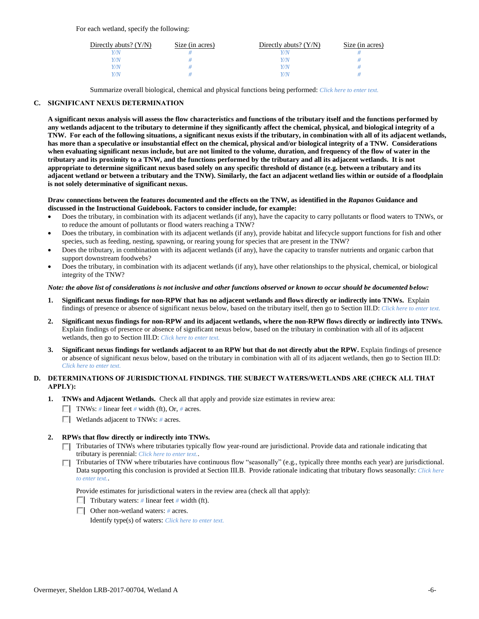For each wetland, specify the following:

| Directly abuts? $(Y/N)$ | Size (in acres) | Directly abuts? $(Y/N)$ | Size (in acres) |
|-------------------------|-----------------|-------------------------|-----------------|
| V/N                     |                 |                         |                 |
| Y/N                     |                 | Y/N                     |                 |
| Y/N                     |                 | Y/N                     |                 |
| Y/N                     |                 | 77 N                    |                 |

Summarize overall biological, chemical and physical functions being performed: *Click here to enter text.*

## **C. SIGNIFICANT NEXUS DETERMINATION**

**A significant nexus analysis will assess the flow characteristics and functions of the tributary itself and the functions performed by any wetlands adjacent to the tributary to determine if they significantly affect the chemical, physical, and biological integrity of a TNW. For each of the following situations, a significant nexus exists if the tributary, in combination with all of its adjacent wetlands, has more than a speculative or insubstantial effect on the chemical, physical and/or biological integrity of a TNW. Considerations when evaluating significant nexus include, but are not limited to the volume, duration, and frequency of the flow of water in the tributary and its proximity to a TNW, and the functions performed by the tributary and all its adjacent wetlands. It is not appropriate to determine significant nexus based solely on any specific threshold of distance (e.g. between a tributary and its adjacent wetland or between a tributary and the TNW). Similarly, the fact an adjacent wetland lies within or outside of a floodplain is not solely determinative of significant nexus.** 

### **Draw connections between the features documented and the effects on the TNW, as identified in the** *Rapanos* **Guidance and discussed in the Instructional Guidebook. Factors to consider include, for example:**

- Does the tributary, in combination with its adjacent wetlands (if any), have the capacity to carry pollutants or flood waters to TNWs, or to reduce the amount of pollutants or flood waters reaching a TNW?
- Does the tributary, in combination with its adjacent wetlands (if any), provide habitat and lifecycle support functions for fish and other species, such as feeding, nesting, spawning, or rearing young for species that are present in the TNW?
- Does the tributary, in combination with its adjacent wetlands (if any), have the capacity to transfer nutrients and organic carbon that support downstream foodwebs?
- Does the tributary, in combination with its adjacent wetlands (if any), have other relationships to the physical, chemical, or biological integrity of the TNW?

### *Note: the above list of considerations is not inclusive and other functions observed or known to occur should be documented below:*

- **1. Significant nexus findings for non-RPW that has no adjacent wetlands and flows directly or indirectly into TNWs.** Explain findings of presence or absence of significant nexus below, based on the tributary itself, then go to Section III.D: *Click here to enter text.*
- **2. Significant nexus findings for non-RPW and its adjacent wetlands, where the non-RPW flows directly or indirectly into TNWs.**  Explain findings of presence or absence of significant nexus below, based on the tributary in combination with all of its adjacent wetlands, then go to Section III.D: *Click here to enter text.*
- **3. Significant nexus findings for wetlands adjacent to an RPW but that do not directly abut the RPW.** Explain findings of presence or absence of significant nexus below, based on the tributary in combination with all of its adjacent wetlands, then go to Section III.D: *Click here to enter text.*

# **D. DETERMINATIONS OF JURISDICTIONAL FINDINGS. THE SUBJECT WATERS/WETLANDS ARE (CHECK ALL THAT APPLY):**

- **1. TNWs and Adjacent Wetlands.** Check all that apply and provide size estimates in review area:
	- TNWs: *#* linear feet *#* width (ft), Or, *#* acres.
	- Wetlands adjacent to TNWs: *#* acres.

## **2. RPWs that flow directly or indirectly into TNWs.**

- Tributaries of TNWs where tributaries typically flow year-round are jurisdictional. Provide data and rationale indicating that tributary is perennial: *Click here to enter text.*.
- Tributaries of TNW where tributaries have continuous flow "seasonally" (e.g., typically three months each year) are jurisdictional. Data supporting this conclusion is provided at Section III.B. Provide rationale indicating that tributary flows seasonally: *Click here to enter text.*.

Provide estimates for jurisdictional waters in the review area (check all that apply):

- Tributary waters:  $\#$  linear feet  $\#$  width (ft).
- Other non-wetland waters: *#* acres.

Identify type(s) of waters: *Click here to enter text.*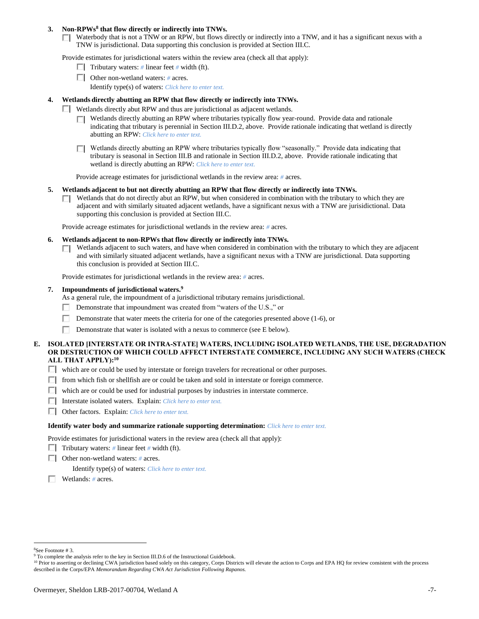### **3. Non-RPWs<sup>8</sup> that flow directly or indirectly into TNWs.**

 $\Box$  Waterbody that is not a TNW or an RPW, but flows directly or indirectly into a TNW, and it has a significant nexus with a TNW is jurisdictional. Data supporting this conclusion is provided at Section III.C.

Provide estimates for jurisdictional waters within the review area (check all that apply):

- **Tributary waters:**  $\#$  linear feet  $\#$  width (ft).
- Other non-wetland waters: *#* acres.
	- Identify type(s) of waters: *Click here to enter text.*

### **4. Wetlands directly abutting an RPW that flow directly or indirectly into TNWs.**

- $\Box$  Wetlands directly abut RPW and thus are jurisdictional as adjacent wetlands.
	- $\Box$  Wetlands directly abutting an RPW where tributaries typically flow year-round. Provide data and rationale indicating that tributary is perennial in Section III.D.2, above. Provide rationale indicating that wetland is directly abutting an RPW: *Click here to enter text.*
	- Wetlands directly abutting an RPW where tributaries typically flow "seasonally." Provide data indicating that ПL. tributary is seasonal in Section III.B and rationale in Section III.D.2, above. Provide rationale indicating that wetland is directly abutting an RPW: *Click here to enter text.*

Provide acreage estimates for jurisdictional wetlands in the review area: *#* acres.

- **5. Wetlands adjacent to but not directly abutting an RPW that flow directly or indirectly into TNWs.**
	- $\Box$  Wetlands that do not directly abut an RPW, but when considered in combination with the tributary to which they are adjacent and with similarly situated adjacent wetlands, have a significant nexus with a TNW are jurisidictional. Data supporting this conclusion is provided at Section III.C.

Provide acreage estimates for jurisdictional wetlands in the review area: *#* acres.

- **6. Wetlands adjacent to non-RPWs that flow directly or indirectly into TNWs.** 
	- Wetlands adjacent to such waters, and have when considered in combination with the tributary to which they are adjacent п. and with similarly situated adjacent wetlands, have a significant nexus with a TNW are jurisdictional. Data supporting this conclusion is provided at Section III.C.

Provide estimates for jurisdictional wetlands in the review area: *#* acres.

**7. Impoundments of jurisdictional waters. 9**

As a general rule, the impoundment of a jurisdictional tributary remains jurisdictional.

- Demonstrate that impoundment was created from "waters of the U.S.," or
- Demonstrate that water meets the criteria for one of the categories presented above (1-6), or
- п Demonstrate that water is isolated with a nexus to commerce (see E below).
- **E. ISOLATED [INTERSTATE OR INTRA-STATE] WATERS, INCLUDING ISOLATED WETLANDS, THE USE, DEGRADATION OR DESTRUCTION OF WHICH COULD AFFECT INTERSTATE COMMERCE, INCLUDING ANY SUCH WATERS (CHECK ALL THAT APPLY):<sup>10</sup>**
	- $\Box$  which are or could be used by interstate or foreign travelers for recreational or other purposes.
	- $\Box$  from which fish or shellfish are or could be taken and sold in interstate or foreign commerce.
	- $\Box$  which are or could be used for industrial purposes by industries in interstate commerce.
	- Interstate isolated waters.Explain: *Click here to enter text.*
	- Other factors.Explain: *Click here to enter text.*

#### **Identify water body and summarize rationale supporting determination:** *Click here to enter text.*

Provide estimates for jurisdictional waters in the review area (check all that apply):

- Tributary waters:  $\#$  linear feet  $\#$  width (ft).
- Other non-wetland waters: *#* acres.

Identify type(s) of waters: *Click here to enter text.*

Wetlands: *#* acres.

 $\overline{a}$ 

<sup>8</sup>See Footnote # 3.

<sup>&</sup>lt;sup>9</sup> To complete the analysis refer to the key in Section III.D.6 of the Instructional Guidebook.

<sup>&</sup>lt;sup>10</sup> Prior to asserting or declining CWA jurisdiction based solely on this category, Corps Districts will elevate the action to Corps and EPA HQ for review consistent with the process described in the Corps/EPA *Memorandum Regarding CWA Act Jurisdiction Following Rapanos.*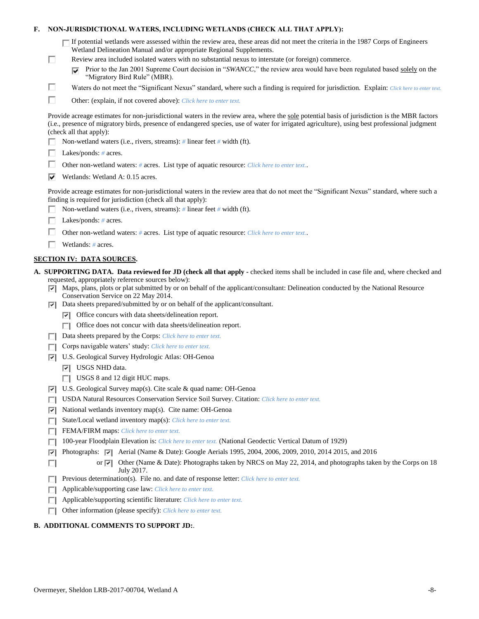|  |  | F. NON-JURISDICTIONAL WATERS, INCLUDING WETLANDS (CHECK ALL THAT APPLY): |  |
|--|--|--------------------------------------------------------------------------|--|
|--|--|--------------------------------------------------------------------------|--|

| $\Box$ If potential wetlands were assessed within the review area, these areas did not meet the criteria in the 1987 Corps of Engineers |
|-----------------------------------------------------------------------------------------------------------------------------------------|
| Wetland Delineation Manual and/or appropriate Regional Supplements.                                                                     |

- Review area included isolated waters with no substantial nexus to interstate (or foreign) commerce.
	- **Prior to the Jan 2001 Supreme Court decision in "***SWANCC*," the review area would have been regulated based solely on the "Migratory Bird Rule" (MBR).
- Waters do not meet the "Significant Nexus" standard, where such a finding is required for jurisdiction. Explain: *Click here to enter text.*
- П Other: (explain, if not covered above): *Click here to enter text.*

Provide acreage estimates for non-jurisdictional waters in the review area, where the sole potential basis of jurisdiction is the MBR factors (i.e., presence of migratory birds, presence of endangered species, use of water for irrigated agriculture), using best professional judgment (check all that apply):

- Non-wetland waters (i.e., rivers, streams): *#* linear feet *#* width (ft).
- Lakes/ponds: *#* acres.

П

П

- п. Other non-wetland waters: *#* acres. List type of aquatic resource: *Click here to enter text.*.
- $\triangledown$  Wetlands: Wetland A: 0.15 acres.

Provide acreage estimates for non-jurisdictional waters in the review area that do not meet the "Significant Nexus" standard, where such a finding is required for jurisdiction (check all that apply):

- Non-wetland waters (i.e., rivers, streams): *#* linear feet *#* width (ft).
- Lakes/ponds: *#* acres.
- п. Other non-wetland waters: *#* acres. List type of aquatic resource: *Click here to enter text.*.
- Wetlands: *#* acres.

## **SECTION IV: DATA SOURCES.**

- **A. SUPPORTING DATA. Data reviewed for JD (check all that apply -** checked items shall be included in case file and, where checked and requested, appropriately reference sources below):
	- $\nabla$  Maps, plans, plots or plat submitted by or on behalf of the applicant/consultant: Delineation conducted by the National Resource Conservation Service on 22 May 2014.
	- $\nabla$  Data sheets prepared/submitted by or on behalf of the applicant/consultant.
		- $\triangledown$  Office concurs with data sheets/delineation report.
		- □ Office does not concur with data sheets/delineation report.
	- Data sheets prepared by the Corps: *Click here to enter text.*
	- Corps navigable waters' study: *Click here to enter text.*
	- U.S. Geological Survey Hydrologic Atlas: OH-Genoa
		- **V** USGS NHD data.

 $\Box$ 

- USGS 8 and 12 digit HUC maps.
- U.S. Geological Survey map(s). Cite scale & quad name: OH-Genoa
- USDA Natural Resources Conservation Service Soil Survey. Citation: *Click here to enter text.*
- $\triangledown$  National wetlands inventory map(s). Cite name: OH-Genoa
- State/Local wetland inventory map(s): *Click here to enter text.*
- FFEMA/FIRM maps: *Click here to enter text.*
- 100-year Floodplain Elevation is: *Click here to enter text.* (National Geodectic Vertical Datum of 1929)
- **P** Photographs:  $\boxed{\bullet}$  Aerial (Name & Date): Google Aerials 1995, 2004, 2006, 2009, 2010, 2014 2015, and 2016
	- or  $\overline{v}$  Other (Name & Date): Photographs taken by NRCS on May 22, 2014, and photographs taken by the Corps on 18 July 2017.
- Previous determination(s). File no. and date of response letter: *Click here to enter text.* П.
- Applicable/supporting case law: *Click here to enter text.* ПL.
- Applicable/supporting scientific literature: *Click here to enter text.* п
- Other information (please specify): *Click here to enter text.* П.

## **B. ADDITIONAL COMMENTS TO SUPPORT JD:**.